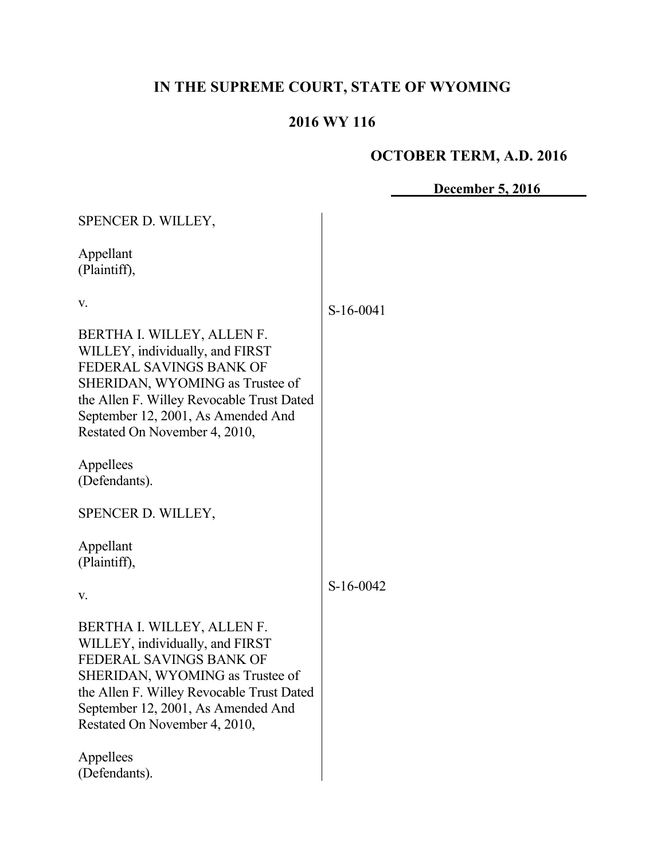# **IN THE SUPREME COURT, STATE OF WYOMING**

# **2016 WY 116**

# **OCTOBER TERM, A.D. 2016**

**December 5, 2016**

| SPENCER D. WILLEY,                                                                                                                                                                                                                              |           |
|-------------------------------------------------------------------------------------------------------------------------------------------------------------------------------------------------------------------------------------------------|-----------|
| Appellant<br>(Plaintiff),                                                                                                                                                                                                                       |           |
| V.<br>BERTHA I. WILLEY, ALLEN F.                                                                                                                                                                                                                | S-16-0041 |
| WILLEY, individually, and FIRST<br>FEDERAL SAVINGS BANK OF<br>SHERIDAN, WYOMING as Trustee of<br>the Allen F. Willey Revocable Trust Dated<br>September 12, 2001, As Amended And<br>Restated On November 4, 2010,                               |           |
| Appellees<br>(Defendants).                                                                                                                                                                                                                      |           |
| SPENCER D. WILLEY,                                                                                                                                                                                                                              |           |
| Appellant<br>(Plaintiff),                                                                                                                                                                                                                       |           |
| V.                                                                                                                                                                                                                                              | S-16-0042 |
| BERTHA I. WILLEY, ALLEN F.<br>WILLEY, individually, and FIRST<br>FEDERAL SAVINGS BANK OF<br>SHERIDAN, WYOMING as Trustee of<br>the Allen F. Willey Revocable Trust Dated<br>September 12, 2001, As Amended And<br>Restated On November 4, 2010, |           |
| Appellees<br>(Defendants).                                                                                                                                                                                                                      |           |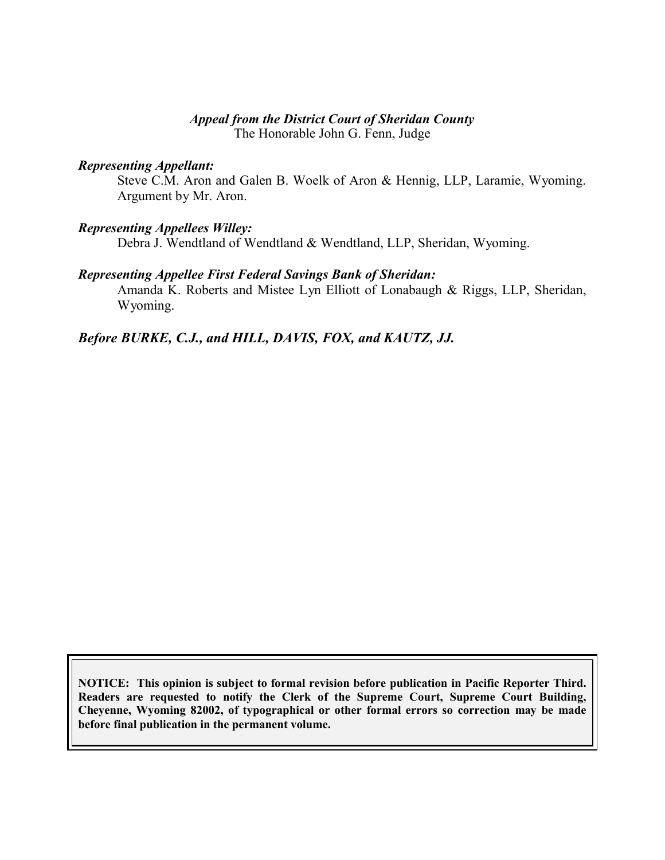#### *Appeal from the District Court of Sheridan County*

The Honorable John G. Fenn, Judge

#### *Representing Appellant:*

Steve C.M. Aron and Galen B. Woelk of Aron & Hennig, LLP, Laramie, Wyoming. Argument by Mr. Aron.

#### *Representing Appellees Willey:*

Debra J. Wendtland of Wendtland & Wendtland, LLP, Sheridan, Wyoming.

#### *Representing Appellee First Federal Savings Bank of Sheridan:*

Amanda K. Roberts and Mistee Lyn Elliott of Lonabaugh & Riggs, LLP, Sheridan, Wyoming.

## *Before BURKE, C.J., and HILL, DAVIS, FOX, and KAUTZ, JJ.*

**NOTICE: This opinion is subject to formal revision before publication in Pacific Reporter Third. Readers are requested to notify the Clerk of the Supreme Court, Supreme Court Building, Cheyenne, Wyoming 82002, of typographical or other formal errors so correction may be made before final publication in the permanent volume.**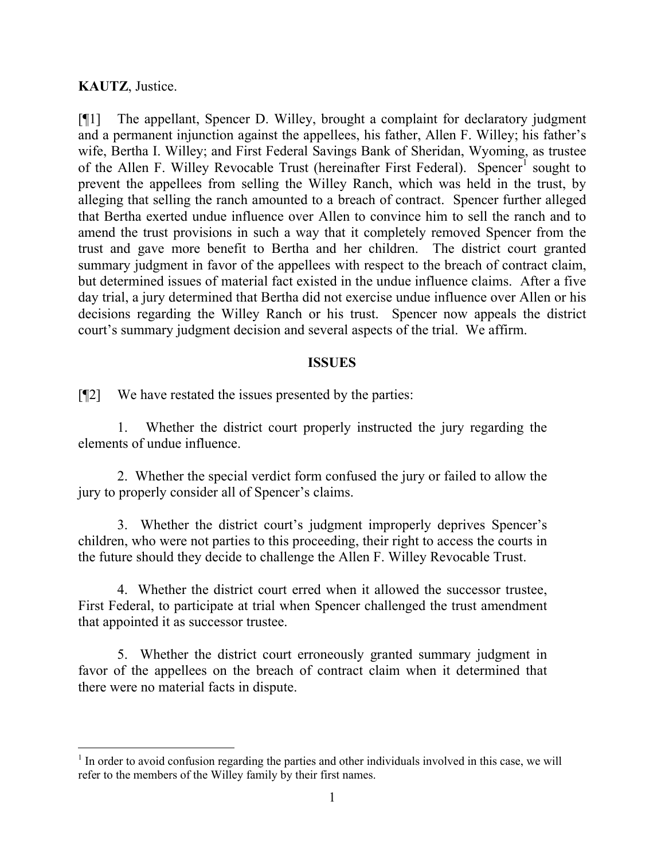## **KAUTZ**, Justice.

[¶1] The appellant, Spencer D. Willey, brought a complaint for declaratory judgment and a permanent injunction against the appellees, his father, Allen F. Willey; his father's wife, Bertha I. Willey; and First Federal Savings Bank of Sheridan, Wyoming, as trustee of the Allen F. Willey Revocable Trust (hereinafter First Federal). Spencer<sup>1</sup> sought to prevent the appellees from selling the Willey Ranch, which was held in the trust, by alleging that selling the ranch amounted to a breach of contract. Spencer further alleged that Bertha exerted undue influence over Allen to convince him to sell the ranch and to amend the trust provisions in such a way that it completely removed Spencer from the trust and gave more benefit to Bertha and her children. The district court granted summary judgment in favor of the appellees with respect to the breach of contract claim, but determined issues of material fact existed in the undue influence claims. After a five day trial, a jury determined that Bertha did not exercise undue influence over Allen or his decisions regarding the Willey Ranch or his trust. Spencer now appeals the district court's summary judgment decision and several aspects of the trial. We affirm.

### **ISSUES**

[¶2] We have restated the issues presented by the parties:

1. Whether the district court properly instructed the jury regarding the elements of undue influence.

2. Whether the special verdict form confused the jury or failed to allow the jury to properly consider all of Spencer's claims.

3. Whether the district court's judgment improperly deprives Spencer's children, who were not parties to this proceeding, their right to access the courts in the future should they decide to challenge the Allen F. Willey Revocable Trust.

4. Whether the district court erred when it allowed the successor trustee, First Federal, to participate at trial when Spencer challenged the trust amendment that appointed it as successor trustee.

5. Whether the district court erroneously granted summary judgment in favor of the appellees on the breach of contract claim when it determined that there were no material facts in dispute.

 $<sup>1</sup>$  In order to avoid confusion regarding the parties and other individuals involved in this case, we will</sup> refer to the members of the Willey family by their first names.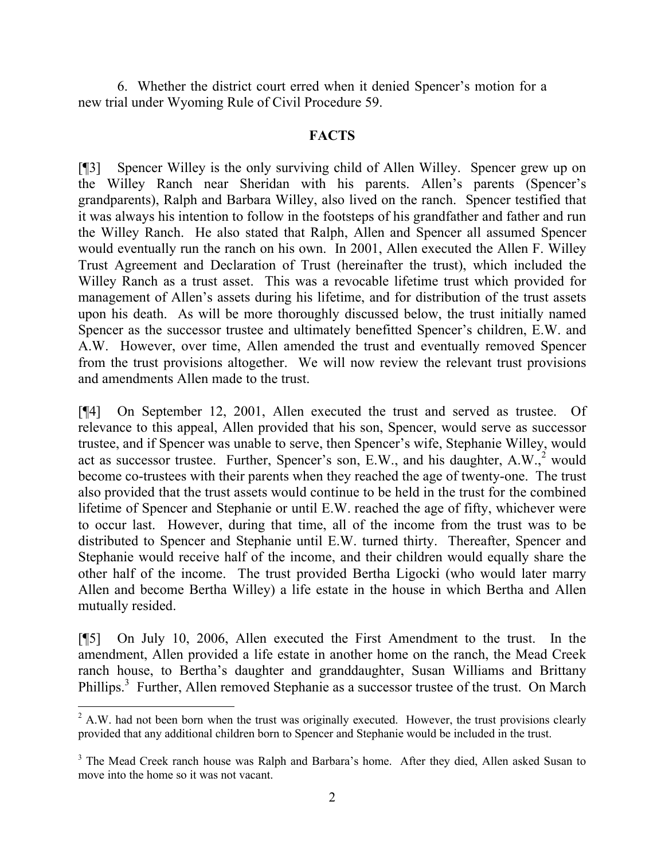6. Whether the district court erred when it denied Spencer's motion for a new trial under Wyoming Rule of Civil Procedure 59.

#### **FACTS**

[¶3] Spencer Willey is the only surviving child of Allen Willey. Spencer grew up on the Willey Ranch near Sheridan with his parents. Allen's parents (Spencer's grandparents), Ralph and Barbara Willey, also lived on the ranch. Spencer testified that it was always his intention to follow in the footsteps of his grandfather and father and run the Willey Ranch. He also stated that Ralph, Allen and Spencer all assumed Spencer would eventually run the ranch on his own. In 2001, Allen executed the Allen F. Willey Trust Agreement and Declaration of Trust (hereinafter the trust), which included the Willey Ranch as a trust asset. This was a revocable lifetime trust which provided for management of Allen's assets during his lifetime, and for distribution of the trust assets upon his death. As will be more thoroughly discussed below, the trust initially named Spencer as the successor trustee and ultimately benefitted Spencer's children, E.W. and A.W. However, over time, Allen amended the trust and eventually removed Spencer from the trust provisions altogether. We will now review the relevant trust provisions and amendments Allen made to the trust.

[¶4] On September 12, 2001, Allen executed the trust and served as trustee. Of relevance to this appeal, Allen provided that his son, Spencer, would serve as successor trustee, and if Spencer was unable to serve, then Spencer's wife, Stephanie Willey, would act as successor trustee. Further, Spencer's son,  $E.W.,$  and his daughter, A.W., would become co-trustees with their parents when they reached the age of twenty-one. The trust also provided that the trust assets would continue to be held in the trust for the combined lifetime of Spencer and Stephanie or until E.W. reached the age of fifty, whichever were to occur last. However, during that time, all of the income from the trust was to be distributed to Spencer and Stephanie until E.W. turned thirty. Thereafter, Spencer and Stephanie would receive half of the income, and their children would equally share the other half of the income. The trust provided Bertha Ligocki (who would later marry Allen and become Bertha Willey) a life estate in the house in which Bertha and Allen mutually resided.

[¶5] On July 10, 2006, Allen executed the First Amendment to the trust. In the amendment, Allen provided a life estate in another home on the ranch, the Mead Creek ranch house, to Bertha's daughter and granddaughter, Susan Williams and Brittany Phillips.<sup>3</sup> Further, Allen removed Stephanie as a successor trustee of the trust. On March

 $\overline{a}$ 

<sup>&</sup>lt;sup>2</sup> A.W. had not been born when the trust was originally executed. However, the trust provisions clearly provided that any additional children born to Spencer and Stephanie would be included in the trust.

<sup>&</sup>lt;sup>3</sup> The Mead Creek ranch house was Ralph and Barbara's home. After they died, Allen asked Susan to move into the home so it was not vacant.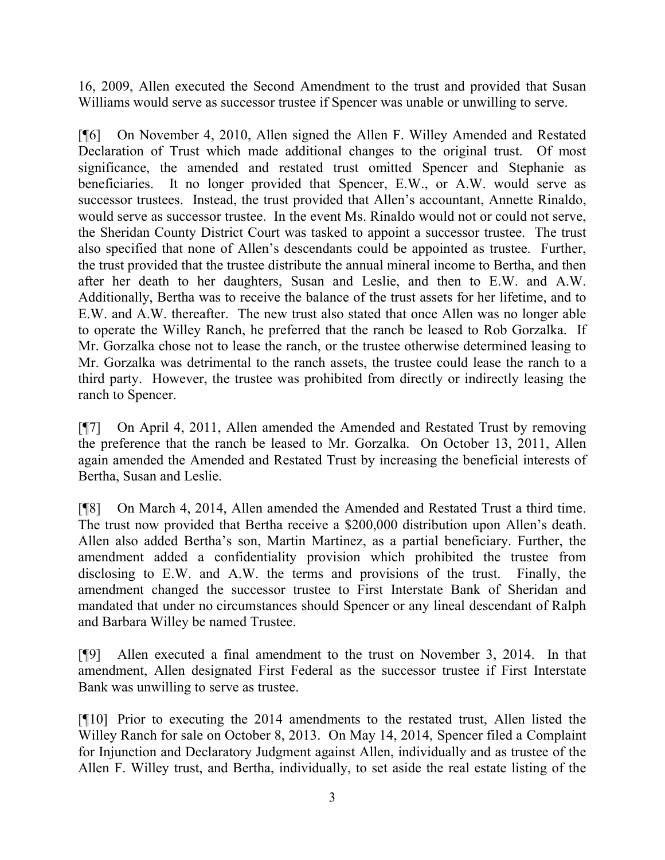16, 2009, Allen executed the Second Amendment to the trust and provided that Susan Williams would serve as successor trustee if Spencer was unable or unwilling to serve.

[¶6] On November 4, 2010, Allen signed the Allen F. Willey Amended and Restated Declaration of Trust which made additional changes to the original trust. Of most significance, the amended and restated trust omitted Spencer and Stephanie as beneficiaries. It no longer provided that Spencer, E.W., or A.W. would serve as successor trustees. Instead, the trust provided that Allen's accountant, Annette Rinaldo, would serve as successor trustee. In the event Ms. Rinaldo would not or could not serve, the Sheridan County District Court was tasked to appoint a successor trustee. The trust also specified that none of Allen's descendants could be appointed as trustee. Further, the trust provided that the trustee distribute the annual mineral income to Bertha, and then after her death to her daughters, Susan and Leslie, and then to E.W. and A.W. Additionally, Bertha was to receive the balance of the trust assets for her lifetime, and to E.W. and A.W. thereafter. The new trust also stated that once Allen was no longer able to operate the Willey Ranch, he preferred that the ranch be leased to Rob Gorzalka. If Mr. Gorzalka chose not to lease the ranch, or the trustee otherwise determined leasing to Mr. Gorzalka was detrimental to the ranch assets, the trustee could lease the ranch to a third party. However, the trustee was prohibited from directly or indirectly leasing the ranch to Spencer.

[¶7] On April 4, 2011, Allen amended the Amended and Restated Trust by removing the preference that the ranch be leased to Mr. Gorzalka. On October 13, 2011, Allen again amended the Amended and Restated Trust by increasing the beneficial interests of Bertha, Susan and Leslie.

[¶8] On March 4, 2014, Allen amended the Amended and Restated Trust a third time. The trust now provided that Bertha receive a \$200,000 distribution upon Allen's death. Allen also added Bertha's son, Martin Martinez, as a partial beneficiary. Further, the amendment added a confidentiality provision which prohibited the trustee from disclosing to E.W. and A.W. the terms and provisions of the trust. Finally, the amendment changed the successor trustee to First Interstate Bank of Sheridan and mandated that under no circumstances should Spencer or any lineal descendant of Ralph and Barbara Willey be named Trustee.

[¶9] Allen executed a final amendment to the trust on November 3, 2014. In that amendment, Allen designated First Federal as the successor trustee if First Interstate Bank was unwilling to serve as trustee.

[¶10] Prior to executing the 2014 amendments to the restated trust, Allen listed the Willey Ranch for sale on October 8, 2013. On May 14, 2014, Spencer filed a Complaint for Injunction and Declaratory Judgment against Allen, individually and as trustee of the Allen F. Willey trust, and Bertha, individually, to set aside the real estate listing of the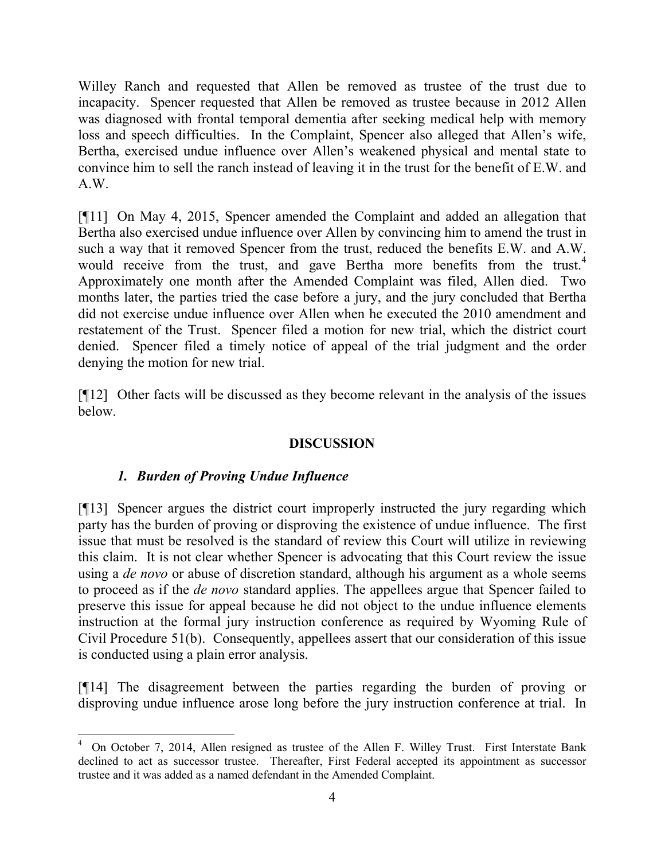Willey Ranch and requested that Allen be removed as trustee of the trust due to incapacity. Spencer requested that Allen be removed as trustee because in 2012 Allen was diagnosed with frontal temporal dementia after seeking medical help with memory loss and speech difficulties. In the Complaint, Spencer also alleged that Allen's wife, Bertha, exercised undue influence over Allen's weakened physical and mental state to convince him to sell the ranch instead of leaving it in the trust for the benefit of E.W. and A.W.

[¶11] On May 4, 2015, Spencer amended the Complaint and added an allegation that Bertha also exercised undue influence over Allen by convincing him to amend the trust in such a way that it removed Spencer from the trust, reduced the benefits E.W. and A.W. would receive from the trust, and gave Bertha more benefits from the trust.<sup>4</sup> Approximately one month after the Amended Complaint was filed, Allen died. Two months later, the parties tried the case before a jury, and the jury concluded that Bertha did not exercise undue influence over Allen when he executed the 2010 amendment and restatement of the Trust. Spencer filed a motion for new trial, which the district court denied. Spencer filed a timely notice of appeal of the trial judgment and the order denying the motion for new trial.

[¶12] Other facts will be discussed as they become relevant in the analysis of the issues below.

# **DISCUSSION**

# *1. Burden of Proving Undue Influence*

l

[¶13] Spencer argues the district court improperly instructed the jury regarding which party has the burden of proving or disproving the existence of undue influence. The first issue that must be resolved is the standard of review this Court will utilize in reviewing this claim. It is not clear whether Spencer is advocating that this Court review the issue using a *de novo* or abuse of discretion standard, although his argument as a whole seems to proceed as if the *de novo* standard applies. The appellees argue that Spencer failed to preserve this issue for appeal because he did not object to the undue influence elements instruction at the formal jury instruction conference as required by Wyoming Rule of Civil Procedure 51(b). Consequently, appellees assert that our consideration of this issue is conducted using a plain error analysis.

[¶14] The disagreement between the parties regarding the burden of proving or disproving undue influence arose long before the jury instruction conference at trial. In

<sup>4</sup> On October 7, 2014, Allen resigned as trustee of the Allen F. Willey Trust. First Interstate Bank declined to act as successor trustee. Thereafter, First Federal accepted its appointment as successor trustee and it was added as a named defendant in the Amended Complaint.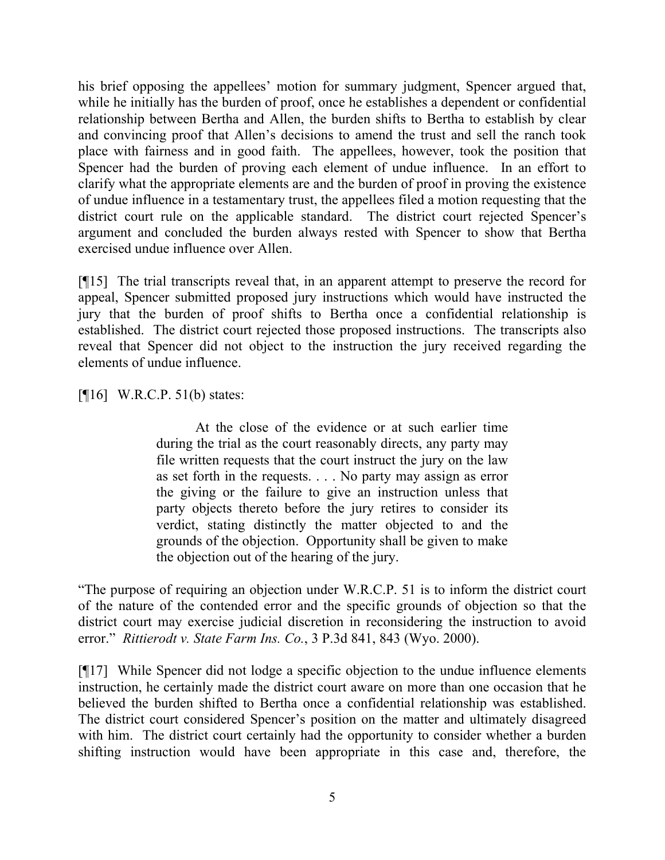his brief opposing the appellees' motion for summary judgment, Spencer argued that, while he initially has the burden of proof, once he establishes a dependent or confidential relationship between Bertha and Allen, the burden shifts to Bertha to establish by clear and convincing proof that Allen's decisions to amend the trust and sell the ranch took place with fairness and in good faith. The appellees, however, took the position that Spencer had the burden of proving each element of undue influence. In an effort to clarify what the appropriate elements are and the burden of proof in proving the existence of undue influence in a testamentary trust, the appellees filed a motion requesting that the district court rule on the applicable standard. The district court rejected Spencer's argument and concluded the burden always rested with Spencer to show that Bertha exercised undue influence over Allen.

[¶15] The trial transcripts reveal that, in an apparent attempt to preserve the record for appeal, Spencer submitted proposed jury instructions which would have instructed the jury that the burden of proof shifts to Bertha once a confidential relationship is established. The district court rejected those proposed instructions. The transcripts also reveal that Spencer did not object to the instruction the jury received regarding the elements of undue influence.

 $[¶16]$  W.R.C.P. 51(b) states:

At the close of the evidence or at such earlier time during the trial as the court reasonably directs, any party may file written requests that the court instruct the jury on the law as set forth in the requests. . . . No party may assign as error the giving or the failure to give an instruction unless that party objects thereto before the jury retires to consider its verdict, stating distinctly the matter objected to and the grounds of the objection. Opportunity shall be given to make the objection out of the hearing of the jury.

"The purpose of requiring an objection under W.R.C.P. 51 is to inform the district court of the nature of the contended error and the specific grounds of objection so that the district court may exercise judicial discretion in reconsidering the instruction to avoid error." *Rittierodt v. State Farm Ins. Co.*, 3 P.3d 841, 843 (Wyo. 2000).

[¶17] While Spencer did not lodge a specific objection to the undue influence elements instruction, he certainly made the district court aware on more than one occasion that he believed the burden shifted to Bertha once a confidential relationship was established. The district court considered Spencer's position on the matter and ultimately disagreed with him. The district court certainly had the opportunity to consider whether a burden shifting instruction would have been appropriate in this case and, therefore, the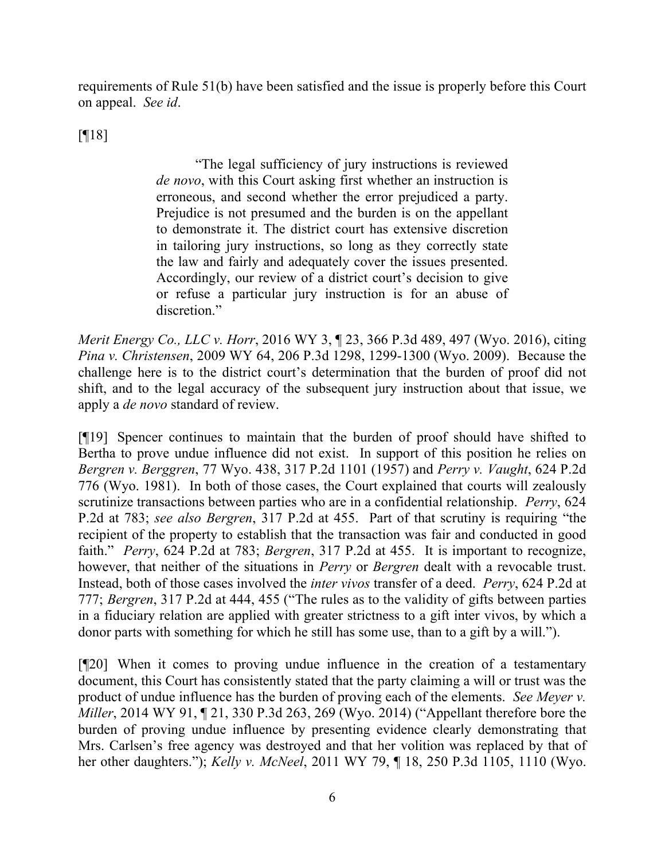requirements of Rule 51(b) have been satisfied and the issue is properly before this Court on appeal. *See id*.

[¶18]

"The legal sufficiency of jury instructions is reviewed *de novo*, with this Court asking first whether an instruction is erroneous, and second whether the error prejudiced a party. Prejudice is not presumed and the burden is on the appellant to demonstrate it. The district court has extensive discretion in tailoring jury instructions, so long as they correctly state the law and fairly and adequately cover the issues presented. Accordingly, our review of a district court's decision to give or refuse a particular jury instruction is for an abuse of discretion."

*Merit Energy Co., LLC v. Horr*, 2016 WY 3, ¶ 23, 366 P.3d 489, 497 (Wyo. 2016), citing *Pina v. Christensen*, 2009 WY 64, 206 P.3d 1298, 1299-1300 (Wyo. 2009). Because the challenge here is to the district court's determination that the burden of proof did not shift, and to the legal accuracy of the subsequent jury instruction about that issue, we apply a *de novo* standard of review.

[¶19] Spencer continues to maintain that the burden of proof should have shifted to Bertha to prove undue influence did not exist. In support of this position he relies on *Bergren v. Berggren*, 77 Wyo. 438, 317 P.2d 1101 (1957) and *Perry v. Vaught*, 624 P.2d 776 (Wyo. 1981). In both of those cases, the Court explained that courts will zealously scrutinize transactions between parties who are in a confidential relationship. *Perry*, 624 P.2d at 783; *see also Bergren*, 317 P.2d at 455. Part of that scrutiny is requiring "the recipient of the property to establish that the transaction was fair and conducted in good faith." *Perry*, 624 P.2d at 783; *Bergren*, 317 P.2d at 455. It is important to recognize, however, that neither of the situations in *Perry* or *Bergren* dealt with a revocable trust. Instead, both of those cases involved the *inter vivos* transfer of a deed. *Perry*, 624 P.2d at 777; *Bergren*, 317 P.2d at 444, 455 ("The rules as to the validity of gifts between parties in a fiduciary relation are applied with greater strictness to a gift inter vivos, by which a donor parts with something for which he still has some use, than to a gift by a will.").

[¶20] When it comes to proving undue influence in the creation of a testamentary document, this Court has consistently stated that the party claiming a will or trust was the product of undue influence has the burden of proving each of the elements. *See Meyer v. Miller*, 2014 WY 91, ¶ 21, 330 P.3d 263, 269 (Wyo. 2014) ("Appellant therefore bore the burden of proving undue influence by presenting evidence clearly demonstrating that Mrs. Carlsen's free agency was destroyed and that her volition was replaced by that of her other daughters."); *Kelly v. McNeel*, 2011 WY 79, ¶ 18, 250 P.3d 1105, 1110 (Wyo.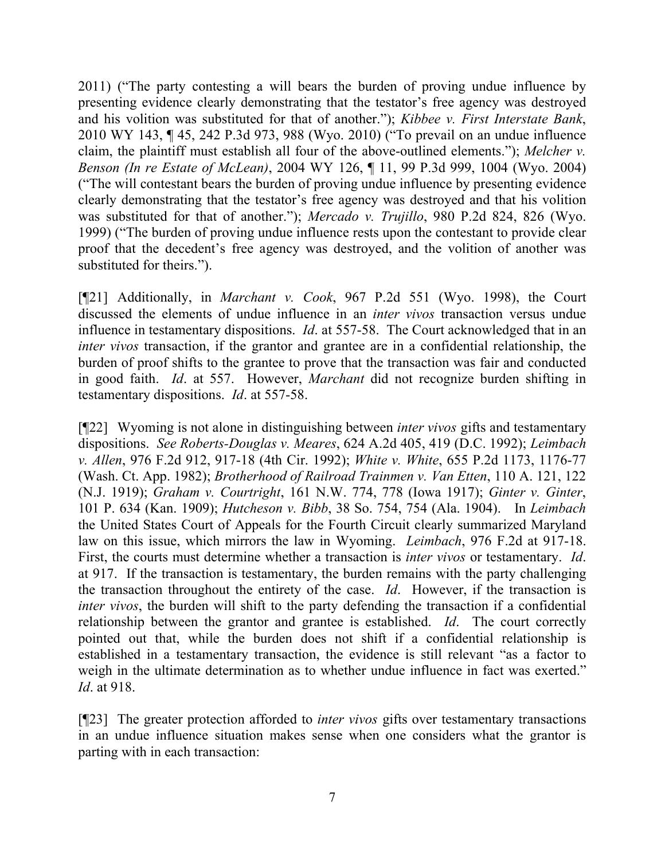2011) ("The party contesting a will bears the burden of proving undue influence by presenting evidence clearly demonstrating that the testator's free agency was destroyed and his volition was substituted for that of another."); *Kibbee v. First Interstate Bank*, 2010 WY 143, ¶ 45, 242 P.3d 973, 988 (Wyo. 2010) ("To prevail on an undue influence claim, the plaintiff must establish all four of the above-outlined elements."); *Melcher v. Benson (In re Estate of McLean)*, 2004 WY 126, ¶ 11, 99 P.3d 999, 1004 (Wyo. 2004) ("The will contestant bears the burden of proving undue influence by presenting evidence clearly demonstrating that the testator's free agency was destroyed and that his volition was substituted for that of another."); *Mercado v. Trujillo*, 980 P.2d 824, 826 (Wyo. 1999) ("The burden of proving undue influence rests upon the contestant to provide clear proof that the decedent's free agency was destroyed, and the volition of another was substituted for theirs.").

[¶21] Additionally, in *Marchant v. Cook*, 967 P.2d 551 (Wyo. 1998), the Court discussed the elements of undue influence in an *inter vivos* transaction versus undue influence in testamentary dispositions. *Id*. at 557-58. The Court acknowledged that in an *inter vivos* transaction, if the grantor and grantee are in a confidential relationship, the burden of proof shifts to the grantee to prove that the transaction was fair and conducted in good faith. *Id*. at 557. However, *Marchant* did not recognize burden shifting in testamentary dispositions. *Id*. at 557-58.

[¶22] Wyoming is not alone in distinguishing between *inter vivos* gifts and testamentary dispositions. *See Roberts-Douglas v. Meares*, 624 A.2d 405, 419 (D.C. 1992); *Leimbach v. Allen*, 976 F.2d 912, 917-18 (4th Cir. 1992); *White v. White*, 655 P.2d 1173, 1176-77 (Wash. Ct. App. 1982); *Brotherhood of Railroad Trainmen v. Van Etten*, 110 A. 121, 122 (N.J. 1919); *Graham v. Courtright*, 161 N.W. 774, 778 (Iowa 1917); *Ginter v. Ginter*, 101 P. 634 (Kan. 1909); *Hutcheson v. Bibb*, 38 So. 754, 754 (Ala. 1904). In *Leimbach* the United States Court of Appeals for the Fourth Circuit clearly summarized Maryland law on this issue, which mirrors the law in Wyoming. *Leimbach*, 976 F.2d at 917-18. First, the courts must determine whether a transaction is *inter vivos* or testamentary. *Id*. at 917. If the transaction is testamentary, the burden remains with the party challenging the transaction throughout the entirety of the case. *Id*. However, if the transaction is *inter vivos*, the burden will shift to the party defending the transaction if a confidential relationship between the grantor and grantee is established. *Id*. The court correctly pointed out that, while the burden does not shift if a confidential relationship is established in a testamentary transaction, the evidence is still relevant "as a factor to weigh in the ultimate determination as to whether undue influence in fact was exerted." *Id*. at 918.

[¶23] The greater protection afforded to *inter vivos* gifts over testamentary transactions in an undue influence situation makes sense when one considers what the grantor is parting with in each transaction: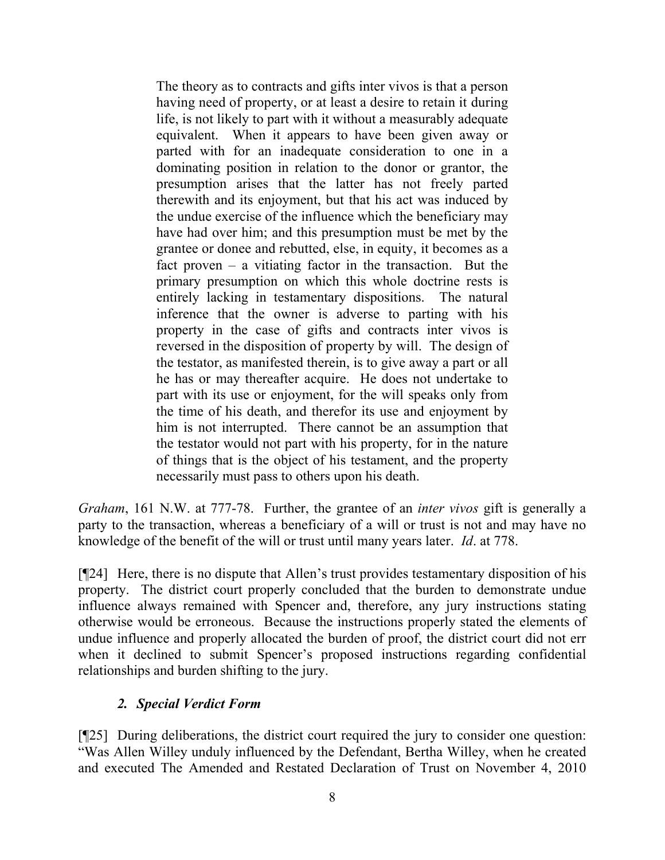The theory as to contracts and gifts inter vivos is that a person having need of property, or at least a desire to retain it during life, is not likely to part with it without a measurably adequate equivalent. When it appears to have been given away or parted with for an inadequate consideration to one in a dominating position in relation to the donor or grantor, the presumption arises that the latter has not freely parted therewith and its enjoyment, but that his act was induced by the undue exercise of the influence which the beneficiary may have had over him; and this presumption must be met by the grantee or donee and rebutted, else, in equity, it becomes as a fact proven  $-$  a vitiating factor in the transaction. But the primary presumption on which this whole doctrine rests is entirely lacking in testamentary dispositions. The natural inference that the owner is adverse to parting with his property in the case of gifts and contracts inter vivos is reversed in the disposition of property by will. The design of the testator, as manifested therein, is to give away a part or all he has or may thereafter acquire. He does not undertake to part with its use or enjoyment, for the will speaks only from the time of his death, and therefor its use and enjoyment by him is not interrupted. There cannot be an assumption that the testator would not part with his property, for in the nature of things that is the object of his testament, and the property necessarily must pass to others upon his death.

*Graham*, 161 N.W. at 777-78. Further, the grantee of an *inter vivos* gift is generally a party to the transaction, whereas a beneficiary of a will or trust is not and may have no knowledge of the benefit of the will or trust until many years later. *Id*. at 778.

[¶24] Here, there is no dispute that Allen's trust provides testamentary disposition of his property. The district court properly concluded that the burden to demonstrate undue influence always remained with Spencer and, therefore, any jury instructions stating otherwise would be erroneous. Because the instructions properly stated the elements of undue influence and properly allocated the burden of proof, the district court did not err when it declined to submit Spencer's proposed instructions regarding confidential relationships and burden shifting to the jury.

# *2. Special Verdict Form*

[¶25] During deliberations, the district court required the jury to consider one question: "Was Allen Willey unduly influenced by the Defendant, Bertha Willey, when he created and executed The Amended and Restated Declaration of Trust on November 4, 2010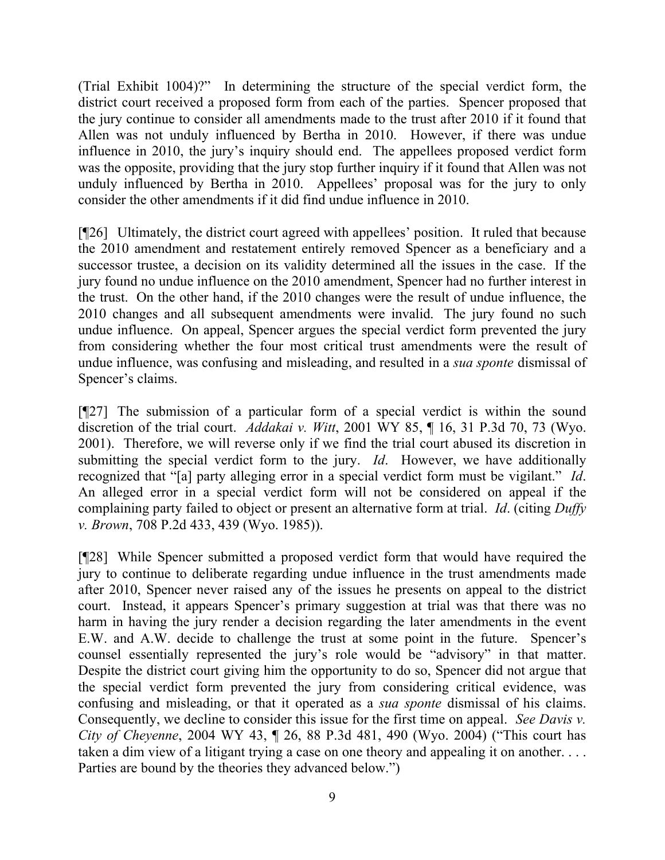(Trial Exhibit 1004)?" In determining the structure of the special verdict form, the district court received a proposed form from each of the parties. Spencer proposed that the jury continue to consider all amendments made to the trust after 2010 if it found that Allen was not unduly influenced by Bertha in 2010. However, if there was undue influence in 2010, the jury's inquiry should end. The appellees proposed verdict form was the opposite, providing that the jury stop further inquiry if it found that Allen was not unduly influenced by Bertha in 2010. Appellees' proposal was for the jury to only consider the other amendments if it did find undue influence in 2010.

[¶26] Ultimately, the district court agreed with appellees' position. It ruled that because the 2010 amendment and restatement entirely removed Spencer as a beneficiary and a successor trustee, a decision on its validity determined all the issues in the case. If the jury found no undue influence on the 2010 amendment, Spencer had no further interest in the trust. On the other hand, if the 2010 changes were the result of undue influence, the 2010 changes and all subsequent amendments were invalid. The jury found no such undue influence. On appeal, Spencer argues the special verdict form prevented the jury from considering whether the four most critical trust amendments were the result of undue influence, was confusing and misleading, and resulted in a *sua sponte* dismissal of Spencer's claims.

[¶27] The submission of a particular form of a special verdict is within the sound discretion of the trial court. *Addakai v. Witt*, 2001 WY 85, ¶ 16, 31 P.3d 70, 73 (Wyo. 2001). Therefore, we will reverse only if we find the trial court abused its discretion in submitting the special verdict form to the jury. *Id*. However, we have additionally recognized that "[a] party alleging error in a special verdict form must be vigilant." *Id*. An alleged error in a special verdict form will not be considered on appeal if the complaining party failed to object or present an alternative form at trial. *Id*. (citing *Duffy v. Brown*, 708 P.2d 433, 439 (Wyo. 1985)).

[¶28] While Spencer submitted a proposed verdict form that would have required the jury to continue to deliberate regarding undue influence in the trust amendments made after 2010, Spencer never raised any of the issues he presents on appeal to the district court. Instead, it appears Spencer's primary suggestion at trial was that there was no harm in having the jury render a decision regarding the later amendments in the event E.W. and A.W. decide to challenge the trust at some point in the future. Spencer's counsel essentially represented the jury's role would be "advisory" in that matter. Despite the district court giving him the opportunity to do so, Spencer did not argue that the special verdict form prevented the jury from considering critical evidence, was confusing and misleading, or that it operated as a *sua sponte* dismissal of his claims. Consequently, we decline to consider this issue for the first time on appeal. *See Davis v. City of Cheyenne*, 2004 WY 43, ¶ 26, 88 P.3d 481, 490 (Wyo. 2004) ("This court has taken a dim view of a litigant trying a case on one theory and appealing it on another. . . . Parties are bound by the theories they advanced below.")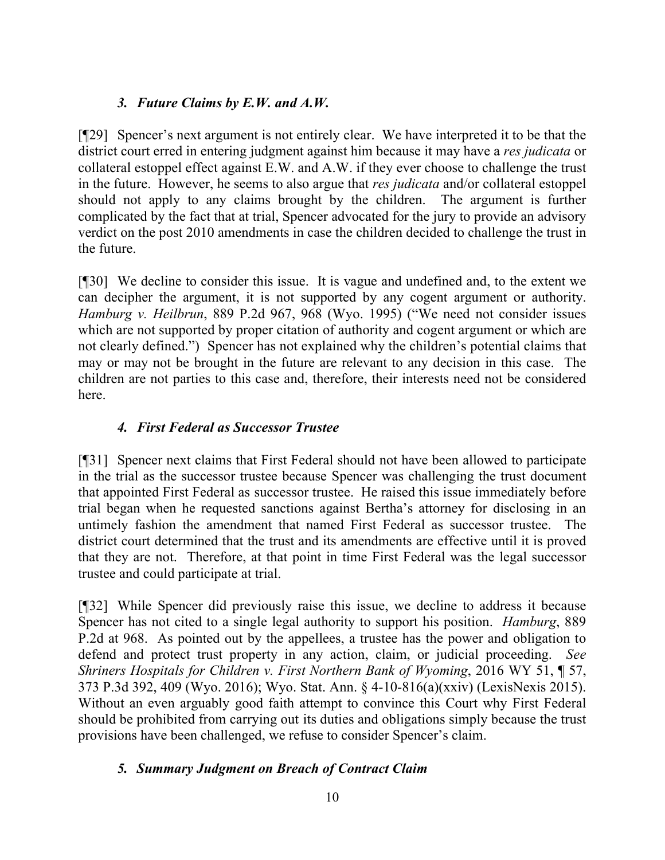# *3. Future Claims by E.W. and A.W.*

[¶29] Spencer's next argument is not entirely clear. We have interpreted it to be that the district court erred in entering judgment against him because it may have a *res judicata* or collateral estoppel effect against E.W. and A.W. if they ever choose to challenge the trust in the future. However, he seems to also argue that *res judicata* and/or collateral estoppel should not apply to any claims brought by the children. The argument is further complicated by the fact that at trial, Spencer advocated for the jury to provide an advisory verdict on the post 2010 amendments in case the children decided to challenge the trust in the future.

[¶30] We decline to consider this issue. It is vague and undefined and, to the extent we can decipher the argument, it is not supported by any cogent argument or authority. *Hamburg v. Heilbrun*, 889 P.2d 967, 968 (Wyo. 1995) ("We need not consider issues which are not supported by proper citation of authority and cogent argument or which are not clearly defined.") Spencer has not explained why the children's potential claims that may or may not be brought in the future are relevant to any decision in this case. The children are not parties to this case and, therefore, their interests need not be considered here.

## *4. First Federal as Successor Trustee*

[¶31] Spencer next claims that First Federal should not have been allowed to participate in the trial as the successor trustee because Spencer was challenging the trust document that appointed First Federal as successor trustee. He raised this issue immediately before trial began when he requested sanctions against Bertha's attorney for disclosing in an untimely fashion the amendment that named First Federal as successor trustee. The district court determined that the trust and its amendments are effective until it is proved that they are not. Therefore, at that point in time First Federal was the legal successor trustee and could participate at trial.

[¶32] While Spencer did previously raise this issue, we decline to address it because Spencer has not cited to a single legal authority to support his position. *Hamburg*, 889 P.2d at 968. As pointed out by the appellees, a trustee has the power and obligation to defend and protect trust property in any action, claim, or judicial proceeding. *See Shriners Hospitals for Children v. First Northern Bank of Wyoming*, 2016 WY 51, ¶ 57, 373 P.3d 392, 409 (Wyo. 2016); Wyo. Stat. Ann. § 4-10-816(a)(xxiv) (LexisNexis 2015). Without an even arguably good faith attempt to convince this Court why First Federal should be prohibited from carrying out its duties and obligations simply because the trust provisions have been challenged, we refuse to consider Spencer's claim.

# *5. Summary Judgment on Breach of Contract Claim*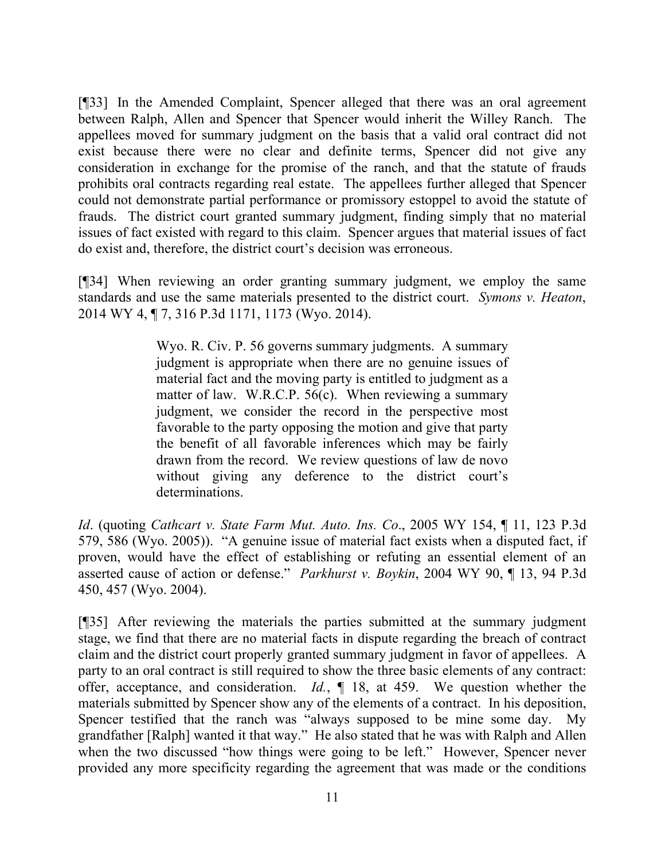[¶33] In the Amended Complaint, Spencer alleged that there was an oral agreement between Ralph, Allen and Spencer that Spencer would inherit the Willey Ranch. The appellees moved for summary judgment on the basis that a valid oral contract did not exist because there were no clear and definite terms, Spencer did not give any consideration in exchange for the promise of the ranch, and that the statute of frauds prohibits oral contracts regarding real estate. The appellees further alleged that Spencer could not demonstrate partial performance or promissory estoppel to avoid the statute of frauds. The district court granted summary judgment, finding simply that no material issues of fact existed with regard to this claim. Spencer argues that material issues of fact do exist and, therefore, the district court's decision was erroneous.

[¶34] When reviewing an order granting summary judgment, we employ the same standards and use the same materials presented to the district court. *Symons v. Heaton*, 2014 WY 4, ¶ 7, 316 P.3d 1171, 1173 (Wyo. 2014).

> Wyo. R. Civ. P. 56 governs summary judgments. A summary judgment is appropriate when there are no genuine issues of material fact and the moving party is entitled to judgment as a matter of law. W.R.C.P. 56(c). When reviewing a summary judgment, we consider the record in the perspective most favorable to the party opposing the motion and give that party the benefit of all favorable inferences which may be fairly drawn from the record. We review questions of law de novo without giving any deference to the district court's determinations.

*Id*. (quoting *Cathcart v. State Farm Mut. Auto. Ins. Co*., 2005 WY 154, ¶ 11, 123 P.3d 579, 586 (Wyo. 2005)). "A genuine issue of material fact exists when a disputed fact, if proven, would have the effect of establishing or refuting an essential element of an asserted cause of action or defense." *Parkhurst v. Boykin*, 2004 WY 90, ¶ 13, 94 P.3d 450, 457 (Wyo. 2004).

[¶35] After reviewing the materials the parties submitted at the summary judgment stage, we find that there are no material facts in dispute regarding the breach of contract claim and the district court properly granted summary judgment in favor of appellees. A party to an oral contract is still required to show the three basic elements of any contract: offer, acceptance, and consideration. *Id.*, ¶ 18, at 459. We question whether the materials submitted by Spencer show any of the elements of a contract. In his deposition, Spencer testified that the ranch was "always supposed to be mine some day. My grandfather [Ralph] wanted it that way." He also stated that he was with Ralph and Allen when the two discussed "how things were going to be left." However, Spencer never provided any more specificity regarding the agreement that was made or the conditions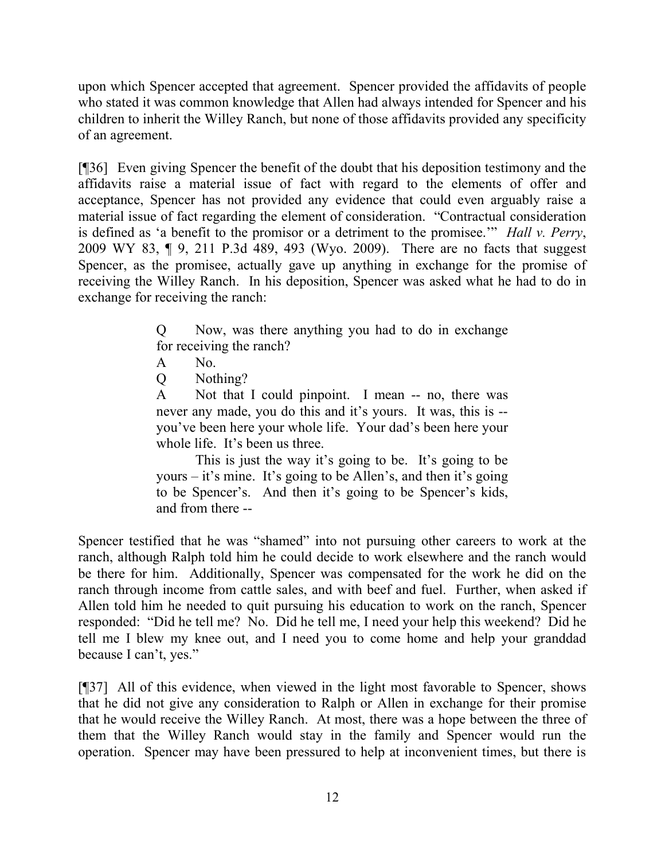upon which Spencer accepted that agreement. Spencer provided the affidavits of people who stated it was common knowledge that Allen had always intended for Spencer and his children to inherit the Willey Ranch, but none of those affidavits provided any specificity of an agreement.

[¶36] Even giving Spencer the benefit of the doubt that his deposition testimony and the affidavits raise a material issue of fact with regard to the elements of offer and acceptance, Spencer has not provided any evidence that could even arguably raise a material issue of fact regarding the element of consideration. "Contractual consideration is defined as 'a benefit to the promisor or a detriment to the promisee.'" *Hall v. Perry*, 2009 WY 83, ¶ 9, 211 P.3d 489, 493 (Wyo. 2009). There are no facts that suggest Spencer, as the promisee, actually gave up anything in exchange for the promise of receiving the Willey Ranch. In his deposition, Spencer was asked what he had to do in exchange for receiving the ranch:

> Q Now, was there anything you had to do in exchange for receiving the ranch?

- A No.
- Q Nothing?

A Not that I could pinpoint. I mean -- no, there was never any made, you do this and it's yours. It was, this is - you've been here your whole life. Your dad's been here your whole life. It's been us three.

This is just the way it's going to be. It's going to be yours – it's mine. It's going to be Allen's, and then it's going to be Spencer's. And then it's going to be Spencer's kids, and from there --

Spencer testified that he was "shamed" into not pursuing other careers to work at the ranch, although Ralph told him he could decide to work elsewhere and the ranch would be there for him. Additionally, Spencer was compensated for the work he did on the ranch through income from cattle sales, and with beef and fuel. Further, when asked if Allen told him he needed to quit pursuing his education to work on the ranch, Spencer responded: "Did he tell me? No. Did he tell me, I need your help this weekend? Did he tell me I blew my knee out, and I need you to come home and help your granddad because I can't, yes."

[¶37] All of this evidence, when viewed in the light most favorable to Spencer, shows that he did not give any consideration to Ralph or Allen in exchange for their promise that he would receive the Willey Ranch. At most, there was a hope between the three of them that the Willey Ranch would stay in the family and Spencer would run the operation. Spencer may have been pressured to help at inconvenient times, but there is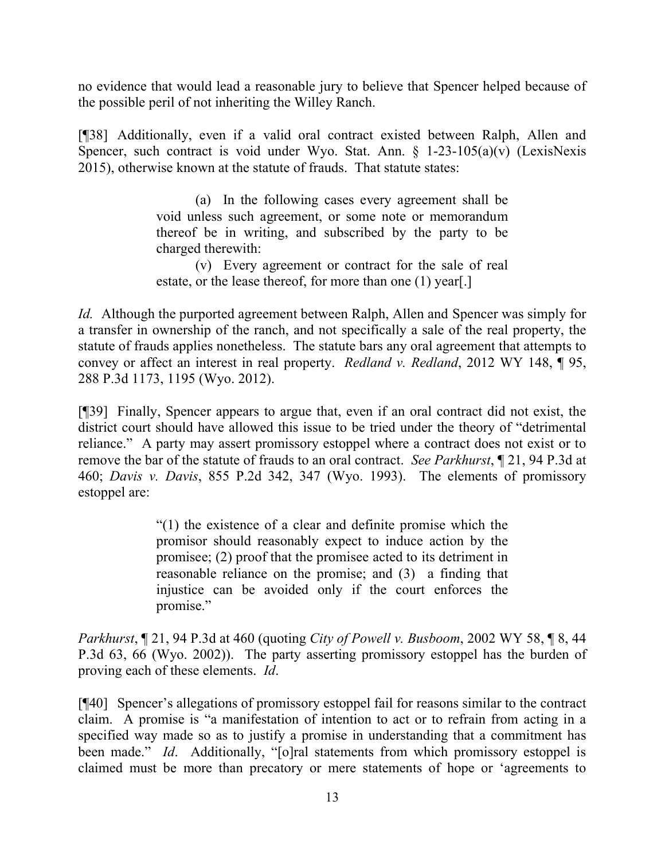no evidence that would lead a reasonable jury to believe that Spencer helped because of the possible peril of not inheriting the Willey Ranch.

[¶38] Additionally, even if a valid oral contract existed between Ralph, Allen and Spencer, such contract is void under Wyo. Stat. Ann.  $\S$  1-23-105(a)(v) (LexisNexis 2015), otherwise known at the statute of frauds. That statute states:

> (a) In the following cases every agreement shall be void unless such agreement, or some note or memorandum thereof be in writing, and subscribed by the party to be charged therewith:

> (v) Every agreement or contract for the sale of real estate, or the lease thereof, for more than one (1) year[.]

*Id.* Although the purported agreement between Ralph, Allen and Spencer was simply for a transfer in ownership of the ranch, and not specifically a sale of the real property, the statute of frauds applies nonetheless. The statute bars any oral agreement that attempts to convey or affect an interest in real property. *Redland v. Redland*, 2012 WY 148, ¶ 95, 288 P.3d 1173, 1195 (Wyo. 2012).

[¶39] Finally, Spencer appears to argue that, even if an oral contract did not exist, the district court should have allowed this issue to be tried under the theory of "detrimental reliance." A party may assert promissory estoppel where a contract does not exist or to remove the bar of the statute of frauds to an oral contract. *See Parkhurst*, ¶ 21, 94 P.3d at 460; *Davis v. Davis*, 855 P.2d 342, 347 (Wyo. 1993). The elements of promissory estoppel are:

> "(1) the existence of a clear and definite promise which the promisor should reasonably expect to induce action by the promisee; (2) proof that the promisee acted to its detriment in reasonable reliance on the promise; and (3) a finding that injustice can be avoided only if the court enforces the promise."

*Parkhurst*, ¶ 21, 94 P.3d at 460 (quoting *City of Powell v. Busboom*, 2002 WY 58, ¶ 8, 44 P.3d 63, 66 (Wyo. 2002)). The party asserting promissory estoppel has the burden of proving each of these elements. *Id*.

[¶40] Spencer's allegations of promissory estoppel fail for reasons similar to the contract claim. A promise is "a manifestation of intention to act or to refrain from acting in a specified way made so as to justify a promise in understanding that a commitment has been made." *Id*. Additionally, "[o]ral statements from which promissory estoppel is claimed must be more than precatory or mere statements of hope or 'agreements to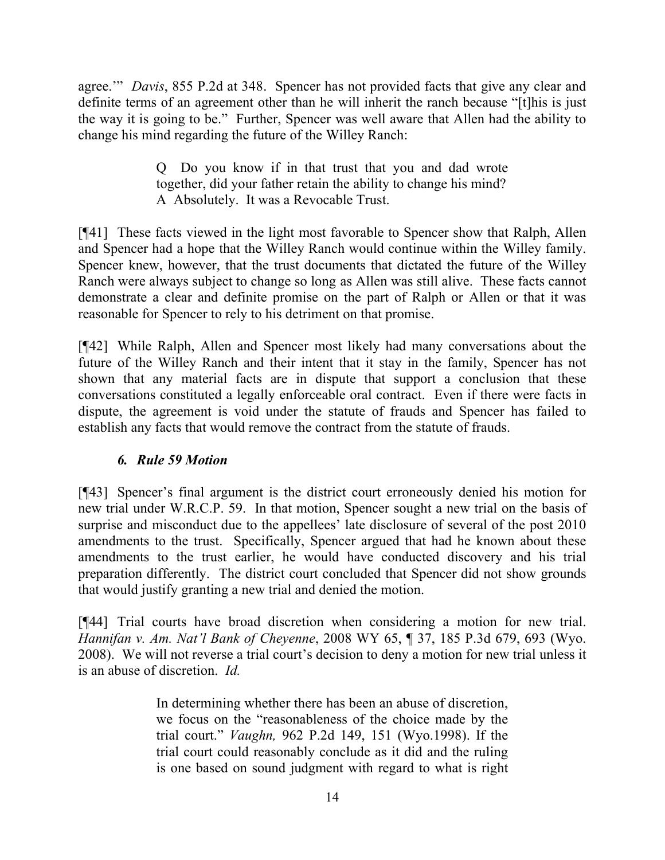agree.'" *Davis*, 855 P.2d at 348. Spencer has not provided facts that give any clear and definite terms of an agreement other than he will inherit the ranch because "[t]his is just the way it is going to be." Further, Spencer was well aware that Allen had the ability to change his mind regarding the future of the Willey Ranch:

> Q Do you know if in that trust that you and dad wrote together, did your father retain the ability to change his mind? A Absolutely. It was a Revocable Trust.

[¶41] These facts viewed in the light most favorable to Spencer show that Ralph, Allen and Spencer had a hope that the Willey Ranch would continue within the Willey family. Spencer knew, however, that the trust documents that dictated the future of the Willey Ranch were always subject to change so long as Allen was still alive. These facts cannot demonstrate a clear and definite promise on the part of Ralph or Allen or that it was reasonable for Spencer to rely to his detriment on that promise.

[¶42] While Ralph, Allen and Spencer most likely had many conversations about the future of the Willey Ranch and their intent that it stay in the family, Spencer has not shown that any material facts are in dispute that support a conclusion that these conversations constituted a legally enforceable oral contract. Even if there were facts in dispute, the agreement is void under the statute of frauds and Spencer has failed to establish any facts that would remove the contract from the statute of frauds.

# *6. Rule 59 Motion*

[¶43] Spencer's final argument is the district court erroneously denied his motion for new trial under W.R.C.P. 59. In that motion, Spencer sought a new trial on the basis of surprise and misconduct due to the appellees' late disclosure of several of the post 2010 amendments to the trust. Specifically, Spencer argued that had he known about these amendments to the trust earlier, he would have conducted discovery and his trial preparation differently. The district court concluded that Spencer did not show grounds that would justify granting a new trial and denied the motion.

[¶44] Trial courts have broad discretion when considering a motion for new trial. *Hannifan v. Am. Nat'l Bank of Cheyenne*, 2008 WY 65, ¶ 37, 185 P.3d 679, 693 (Wyo. 2008). We will not reverse a trial court's decision to deny a motion for new trial unless it is an abuse of discretion. *Id.*

> In determining whether there has been an abuse of discretion, we focus on the "reasonableness of the choice made by the trial court." *Vaughn,* 962 P.2d 149, 151 (Wyo.1998). If the trial court could reasonably conclude as it did and the ruling is one based on sound judgment with regard to what is right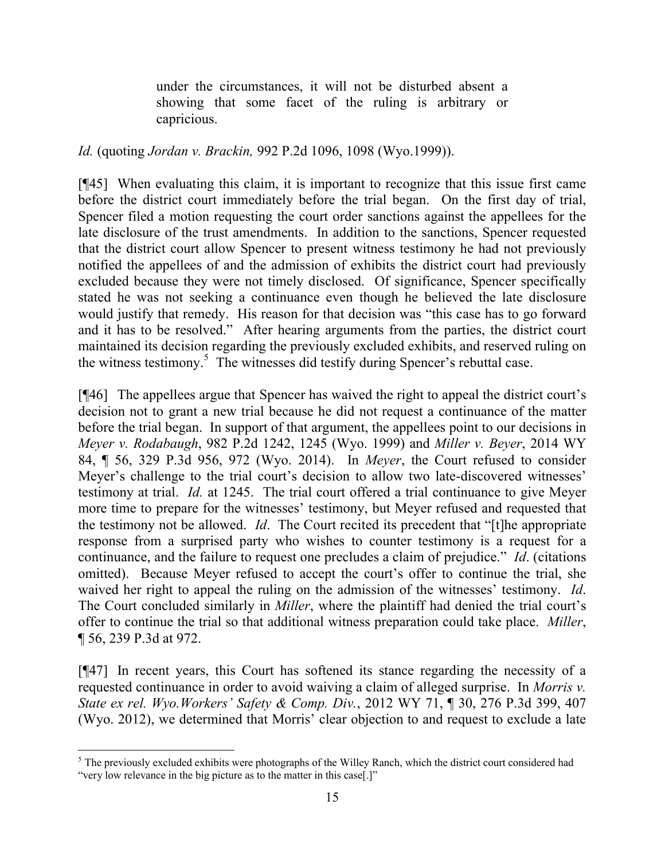under the circumstances, it will not be disturbed absent a showing that some facet of the ruling is arbitrary or capricious.

## *Id.* (quoting *Jordan v. Brackin,* 992 P.2d 1096, 1098 (Wyo.1999)).

[¶45] When evaluating this claim, it is important to recognize that this issue first came before the district court immediately before the trial began. On the first day of trial, Spencer filed a motion requesting the court order sanctions against the appellees for the late disclosure of the trust amendments. In addition to the sanctions, Spencer requested that the district court allow Spencer to present witness testimony he had not previously notified the appellees of and the admission of exhibits the district court had previously excluded because they were not timely disclosed. Of significance, Spencer specifically stated he was not seeking a continuance even though he believed the late disclosure would justify that remedy. His reason for that decision was "this case has to go forward and it has to be resolved." After hearing arguments from the parties, the district court maintained its decision regarding the previously excluded exhibits, and reserved ruling on the witness testimony.<sup>5</sup> The witnesses did testify during Spencer's rebuttal case.

[¶46] The appellees argue that Spencer has waived the right to appeal the district court's decision not to grant a new trial because he did not request a continuance of the matter before the trial began. In support of that argument, the appellees point to our decisions in *Meyer v. Rodabaugh*, 982 P.2d 1242, 1245 (Wyo. 1999) and *Miller v. Beyer*, 2014 WY 84, ¶ 56, 329 P.3d 956, 972 (Wyo. 2014). In *Meyer*, the Court refused to consider Meyer's challenge to the trial court's decision to allow two late-discovered witnesses' testimony at trial. *Id.* at 1245. The trial court offered a trial continuance to give Meyer more time to prepare for the witnesses' testimony, but Meyer refused and requested that the testimony not be allowed. *Id*. The Court recited its precedent that "[t]he appropriate response from a surprised party who wishes to counter testimony is a request for a continuance, and the failure to request one precludes a claim of prejudice." *Id*. (citations omitted). Because Meyer refused to accept the court's offer to continue the trial, she waived her right to appeal the ruling on the admission of the witnesses' testimony. *Id*. The Court concluded similarly in *Miller*, where the plaintiff had denied the trial court's offer to continue the trial so that additional witness preparation could take place. *Miller*, ¶ 56, 239 P.3d at 972.

[¶47] In recent years, this Court has softened its stance regarding the necessity of a requested continuance in order to avoid waiving a claim of alleged surprise. In *Morris v. State ex rel. Wyo.Workers' Safety & Comp. Div.*, 2012 WY 71, ¶ 30, 276 P.3d 399, 407 (Wyo. 2012), we determined that Morris' clear objection to and request to exclude a late

 $\overline{a}$ 

 $<sup>5</sup>$  The previously excluded exhibits were photographs of the Willey Ranch, which the district court considered had</sup> "very low relevance in the big picture as to the matter in this case[.]"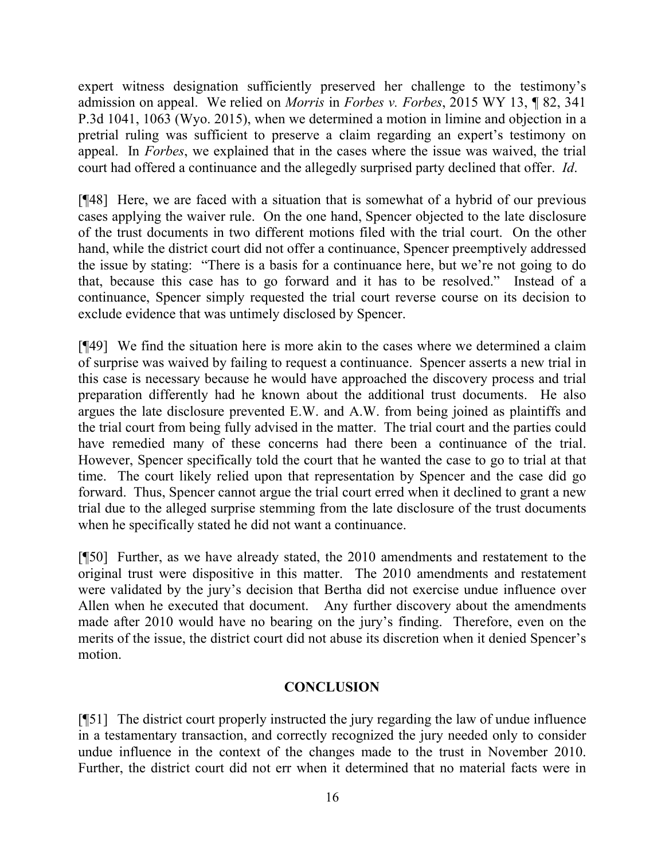expert witness designation sufficiently preserved her challenge to the testimony's admission on appeal. We relied on *Morris* in *Forbes v. Forbes*, 2015 WY 13, ¶ 82, 341 P.3d 1041, 1063 (Wyo. 2015), when we determined a motion in limine and objection in a pretrial ruling was sufficient to preserve a claim regarding an expert's testimony on appeal. In *Forbes*, we explained that in the cases where the issue was waived, the trial court had offered a continuance and the allegedly surprised party declined that offer. *Id*.

[¶48] Here, we are faced with a situation that is somewhat of a hybrid of our previous cases applying the waiver rule. On the one hand, Spencer objected to the late disclosure of the trust documents in two different motions filed with the trial court. On the other hand, while the district court did not offer a continuance, Spencer preemptively addressed the issue by stating: "There is a basis for a continuance here, but we're not going to do that, because this case has to go forward and it has to be resolved." Instead of a continuance, Spencer simply requested the trial court reverse course on its decision to exclude evidence that was untimely disclosed by Spencer.

[¶49] We find the situation here is more akin to the cases where we determined a claim of surprise was waived by failing to request a continuance. Spencer asserts a new trial in this case is necessary because he would have approached the discovery process and trial preparation differently had he known about the additional trust documents. He also argues the late disclosure prevented E.W. and A.W. from being joined as plaintiffs and the trial court from being fully advised in the matter. The trial court and the parties could have remedied many of these concerns had there been a continuance of the trial. However, Spencer specifically told the court that he wanted the case to go to trial at that time. The court likely relied upon that representation by Spencer and the case did go forward. Thus, Spencer cannot argue the trial court erred when it declined to grant a new trial due to the alleged surprise stemming from the late disclosure of the trust documents when he specifically stated he did not want a continuance.

[¶50] Further, as we have already stated, the 2010 amendments and restatement to the original trust were dispositive in this matter. The 2010 amendments and restatement were validated by the jury's decision that Bertha did not exercise undue influence over Allen when he executed that document. Any further discovery about the amendments made after 2010 would have no bearing on the jury's finding. Therefore, even on the merits of the issue, the district court did not abuse its discretion when it denied Spencer's motion.

### **CONCLUSION**

[¶51] The district court properly instructed the jury regarding the law of undue influence in a testamentary transaction, and correctly recognized the jury needed only to consider undue influence in the context of the changes made to the trust in November 2010. Further, the district court did not err when it determined that no material facts were in